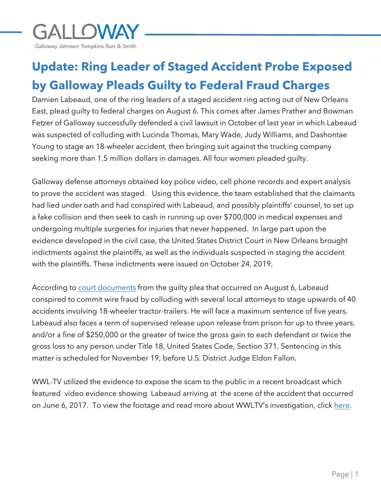

## **Update: Ring Leader of Staged Accident Probe Exposed by Galloway Pleads Guilty to Federal Fraud Charges**

Damien Labeaud, one of the ring leaders of a staged accident ring acting out of New Orleans East, plead guilty to federal charges on August 6. This comes after James Prather and Bowman Fetzer of Galloway successfully defended a civil lawsuit in October of last year in which Labeaud was suspected of colluding with Lucinda Thomas, Mary Wade, Judy Williams, and Dashontae Young to stage an 18-wheeler accident, then bringing suit against the trucking company seeking more than 1.5 million dollars in damages. All four women pleaded guilty.

Galloway defense attorneys obtained key police video, cell phone records and expert analysis to prove the accident was staged. Using this evidence, the team established that the claimants had lied under oath and had conspired with Labeaud, and possibly plaintiffs' counsel, to set up a fake collision and then seek to cash in running up over \$700,000 in medical expenses and undergoing multiple surgeries for injuries that never happened. In large part upon the evidence developed in the civil case, the United States District Court in New Orleans brought indictments against the plaintiffs, as well as the individuals suspected in staging the accident with the plaintiffs. These indictments were issued on October 24, 2019.

According to [court documents](https://www.justice.gov/usao-edla/press-release/file/1302086/download) from the guilty plea that occurred on August 6, Labeaud conspired to commit wire fraud by colluding with several local attorneys to stage upwards of 40 accidents involving 18-wheeler tractor-trailers. He will face a maximum sentence of five years. Labeaud also faces a term of supervised release upon release from prison for up to three years, and/or a fine of \$250,000 or the greater of twice the gross gain to each defendant or twice the gross loss to any person under Title 18, United States Code, Section 371. Sentencing in this matter is scheduled for November 19, before U.S. District Judge Eldon Fallon.

WWL-TV utilized the evidence to expose the scam to the public in a recent broadcast which featured video evidence showing Labeaud arriving at the scene of the accident that occurred on June 6, 2017. To view the footage and read more about WWLTV's investigation, click [here](https://www.wwltv.com/article/news/investigations/damien-labeaud-ringleader-highway-robbery-accident-scam/289-37b38e46-12d4-4a3c-af36-a108a7a4b2cc).